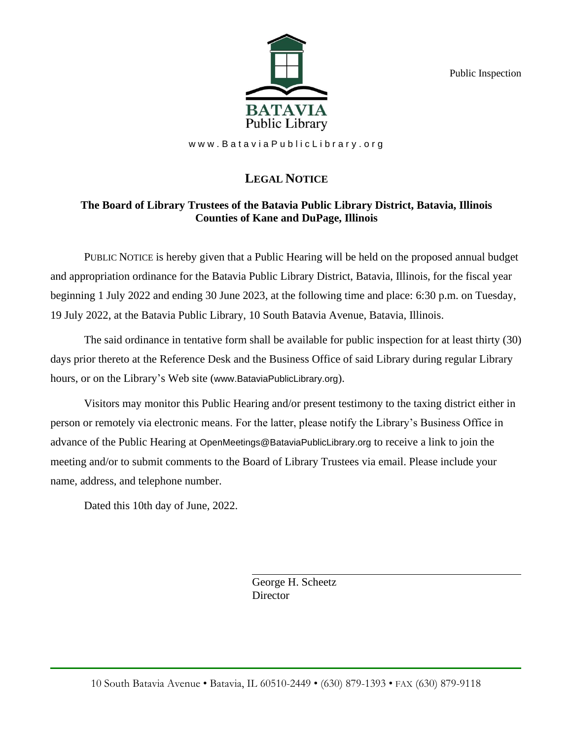Public Inspection



www.BataviaPublicLibrary.org

# **LEGAL NOTICE**

# **The Board of Library Trustees of the Batavia Public Library District, Batavia, Illinois Counties of Kane and DuPage, Illinois**

PUBLIC NOTICE is hereby given that a Public Hearing will be held on the proposed annual budget and appropriation ordinance for the Batavia Public Library District, Batavia, Illinois, for the fiscal year beginning 1 July 2022 and ending 30 June 2023, at the following time and place: 6:30 p.m. on Tuesday, 19 July 2022, at the Batavia Public Library, 10 South Batavia Avenue, Batavia, Illinois.

The said ordinance in tentative form shall be available for public inspection for at least thirty (30) days prior thereto at the Reference Desk and the Business Office of said Library during regular Library hours, or on the Library's Web site (www.BataviaPublicLibrary.org).

Visitors may monitor this Public Hearing and/or present testimony to the taxing district either in person or remotely via electronic means. For the latter, please notify the Library's Business Office in advance of the Public Hearing at OpenMeetings@BataviaPublicLibrary.org to receive a link to join the meeting and/or to submit comments to the Board of Library Trustees via email. Please include your name, address, and telephone number.

Dated this 10th day of June, 2022.

George H. Scheetz **Director**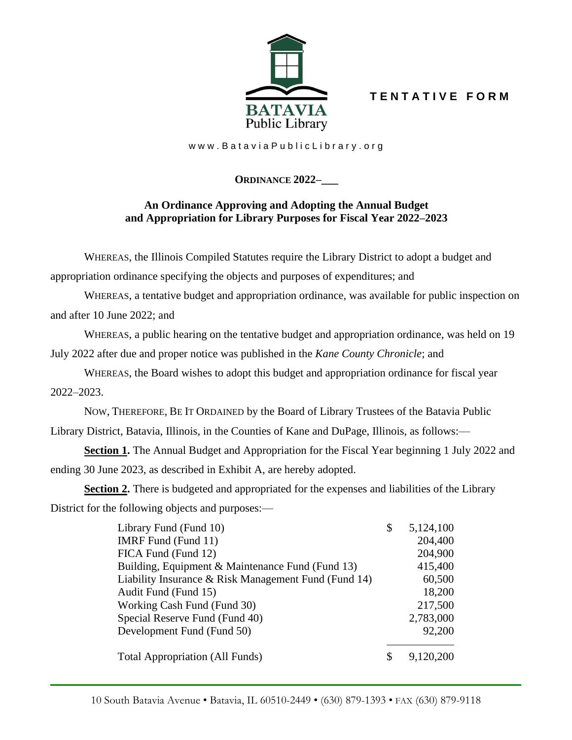**T E N T A T I V E F O R M**



www.BataviaPublicLibrary.org

# **ORDINANCE 2022–\_\_\_**

## **An Ordinance Approving and Adopting the Annual Budget and Appropriation for Library Purposes for Fiscal Year 2022–2023**

WHEREAS, the Illinois Compiled Statutes require the Library District to adopt a budget and

appropriation ordinance specifying the objects and purposes of expenditures; and

WHEREAS, a tentative budget and appropriation ordinance, was available for public inspection on and after 10 June 2022; and

WHEREAS, a public hearing on the tentative budget and appropriation ordinance, was held on 19 July 2022 after due and proper notice was published in the *Kane County Chronicle*; and

WHEREAS, the Board wishes to adopt this budget and appropriation ordinance for fiscal year 2022–2023.

NOW, THEREFORE, BE IT ORDAINED by the Board of Library Trustees of the Batavia Public Library District, Batavia, Illinois, in the Counties of Kane and DuPage, Illinois, as follows:—

**Section 1.** The Annual Budget and Appropriation for the Fiscal Year beginning 1 July 2022 and ending 30 June 2023, as described in Exhibit A, are hereby adopted.

**Section 2.** There is budgeted and appropriated for the expenses and liabilities of the Library District for the following objects and purposes:—

| Library Fund (Fund 10)                               | \$ | 5,124,100 |
|------------------------------------------------------|----|-----------|
| IMRF Fund (Fund 11)                                  |    | 204,400   |
| FICA Fund (Fund 12)                                  |    | 204,900   |
| Building, Equipment & Maintenance Fund (Fund 13)     |    | 415,400   |
| Liability Insurance & Risk Management Fund (Fund 14) |    | 60,500    |
| Audit Fund (Fund 15)                                 |    | 18,200    |
| Working Cash Fund (Fund 30)                          |    | 217,500   |
| Special Reserve Fund (Fund 40)                       |    | 2,783,000 |
| Development Fund (Fund 50)                           |    | 92,200    |
| <b>Total Appropriation (All Funds)</b>               | S  |           |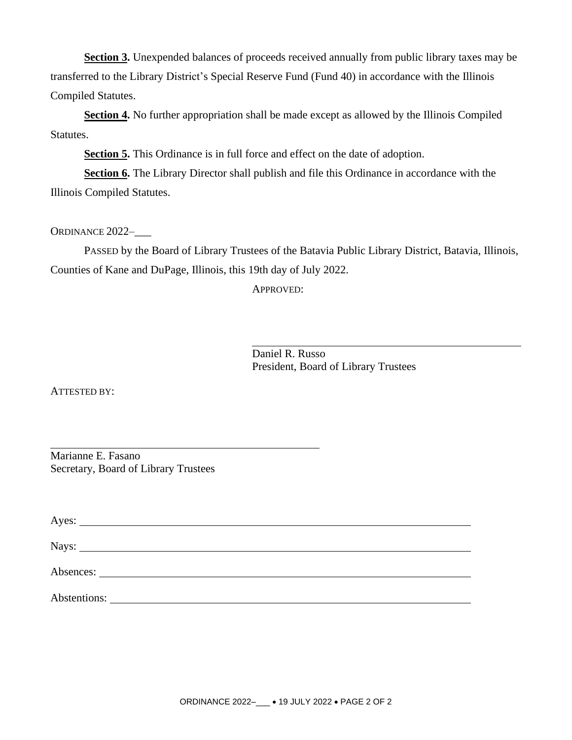Section 3. Unexpended balances of proceeds received annually from public library taxes may be transferred to the Library District's Special Reserve Fund (Fund 40) in accordance with the Illinois Compiled Statutes.

**Section 4.** No further appropriation shall be made except as allowed by the Illinois Compiled Statutes.

**Section 5.** This Ordinance is in full force and effect on the date of adoption.

**Section 6.** The Library Director shall publish and file this Ordinance in accordance with the Illinois Compiled Statutes.

ORDINANCE 2022-

PASSED by the Board of Library Trustees of the Batavia Public Library District, Batavia, Illinois, Counties of Kane and DuPage, Illinois, this 19th day of July 2022.

APPROVED:

Daniel R. Russo President, Board of Library Trustees

ATTESTED BY:

Marianne E. Fasano Secretary, Board of Library Trustees

|              | Nays: |  |  |
|--------------|-------|--|--|
|              |       |  |  |
|              |       |  |  |
| Abstentions: |       |  |  |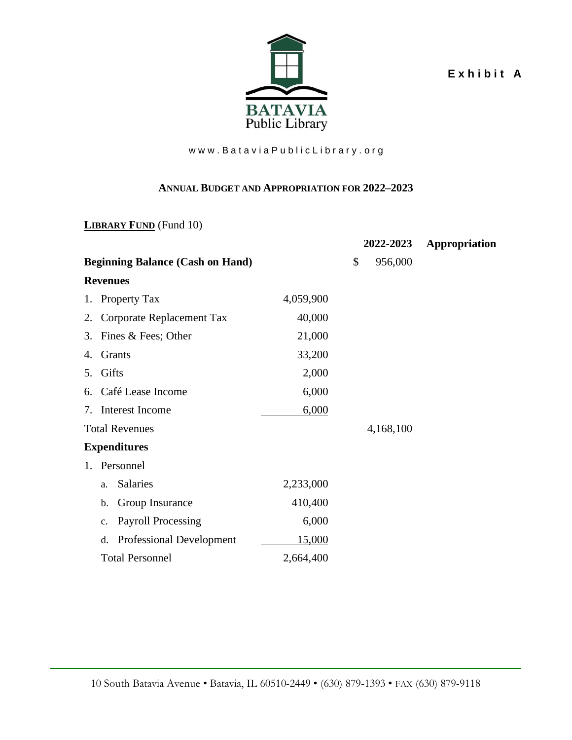**E x h i b i t A**



### www.Batavia Public Library.org

#### **ANNUAL BUDGET AND APPROPRIATION FOR 2022–2023**

**LIBRARY FUND** (Fund 10)

|                                         |           | 2022-2023     | Appropriation |
|-----------------------------------------|-----------|---------------|---------------|
| <b>Beginning Balance (Cash on Hand)</b> |           | \$<br>956,000 |               |
| <b>Revenues</b>                         |           |               |               |
| Property Tax<br>1.                      | 4,059,900 |               |               |
| Corporate Replacement Tax<br>2.         | 40,000    |               |               |
| Fines & Fees; Other<br>3.               | 21,000    |               |               |
| Grants<br>4.                            | 33,200    |               |               |
| Gifts<br>5.                             | 2,000     |               |               |
| Café Lease Income<br>6.                 | 6,000     |               |               |
| Interest Income<br>7.                   | 6,000     |               |               |
| <b>Total Revenues</b>                   |           | 4,168,100     |               |
| <b>Expenditures</b>                     |           |               |               |
| Personnel<br>1.                         |           |               |               |
| <b>Salaries</b><br>a.                   | 2,233,000 |               |               |
| Group Insurance<br>b.                   | 410,400   |               |               |
| <b>Payroll Processing</b><br>c.         | 6,000     |               |               |
| <b>Professional Development</b><br>d.   | 15,000    |               |               |
| <b>Total Personnel</b>                  | 2,664,400 |               |               |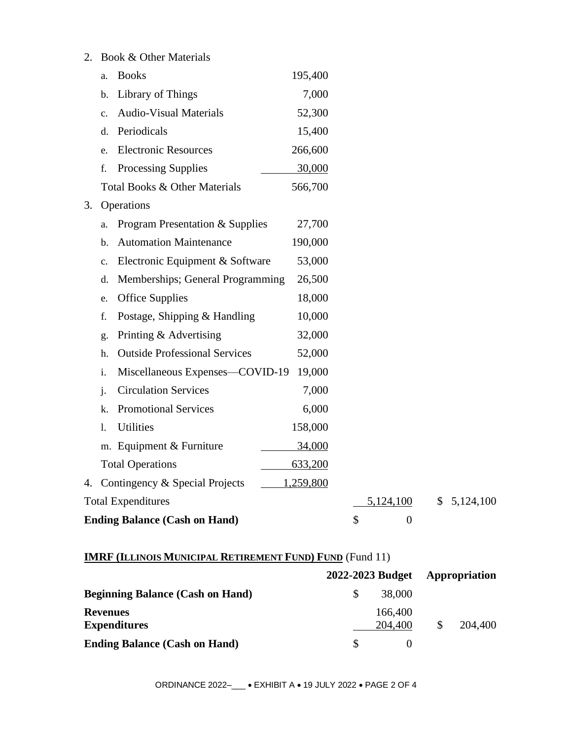| 2. |    | Book & Other Materials               |                  |                        |             |
|----|----|--------------------------------------|------------------|------------------------|-------------|
|    | a. | <b>Books</b>                         | 195,400          |                        |             |
|    | b. | Library of Things                    | 7,000            |                        |             |
|    | c. | <b>Audio-Visual Materials</b>        | 52,300           |                        |             |
|    | d. | Periodicals                          | 15,400           |                        |             |
|    | e. | <b>Electronic Resources</b>          | 266,600          |                        |             |
|    | f. | Processing Supplies                  | 30,000           |                        |             |
|    |    | Total Books & Other Materials        | 566,700          |                        |             |
| 3. |    | Operations                           |                  |                        |             |
|    | a. | Program Presentation & Supplies      | 27,700           |                        |             |
|    | b. | <b>Automation Maintenance</b>        | 190,000          |                        |             |
|    | c. | Electronic Equipment & Software      | 53,000           |                        |             |
|    | d. | Memberships; General Programming     | 26,500           |                        |             |
|    | e. | <b>Office Supplies</b>               | 18,000           |                        |             |
|    | f. | Postage, Shipping & Handling         | 10,000           |                        |             |
|    | g. | Printing & Advertising               | 32,000           |                        |             |
|    | h. | <b>Outside Professional Services</b> | 52,000           |                        |             |
|    | i. | Miscellaneous Expenses-COVID-19      | 19,000           |                        |             |
|    | j. | <b>Circulation Services</b>          | 7,000            |                        |             |
|    | k. | <b>Promotional Services</b>          | 6,000            |                        |             |
|    | 1. | Utilities                            | 158,000          |                        |             |
|    |    | m. Equipment & Furniture             | 34,000           |                        |             |
|    |    | <b>Total Operations</b>              | 633,200          |                        |             |
|    |    | 4. Contingency & Special Projects    | <u>1,259,800</u> |                        |             |
|    |    | <b>Total Expenditures</b>            |                  | 5,124,100              | \$5,124,100 |
|    |    | <b>Ending Balance (Cash on Hand)</b> |                  | \$<br>$\boldsymbol{0}$ |             |

# **IMRF (ILLINOIS MUNICIPAL RETIREMENT FUND) FUND** (Fund 11)

|                                         | 2022-2023 Budget |    |         |
|-----------------------------------------|------------------|----|---------|
| <b>Beginning Balance (Cash on Hand)</b> | 38,000           |    |         |
| <b>Revenues</b>                         | 166,400          |    |         |
| <b>Expenditures</b>                     | 204,400          | \$ | 204,400 |
| <b>Ending Balance (Cash on Hand)</b>    |                  |    |         |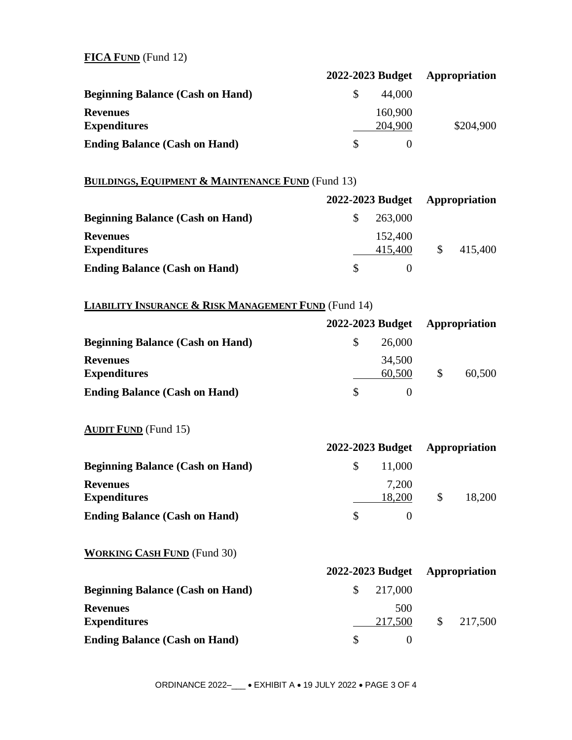### **FICA FUND** (Fund 12)

|                                         | 2022-2023 Budget | Appropriation |  |
|-----------------------------------------|------------------|---------------|--|
| <b>Beginning Balance (Cash on Hand)</b> | 44,000           |               |  |
| <b>Revenues</b>                         | 160,900          |               |  |
| <b>Expenditures</b>                     | 204,900          | \$204,900     |  |
| <b>Ending Balance (Cash on Hand)</b>    |                  |               |  |

## **BUILDINGS, EQUIPMENT & MAINTENANCE FUND** (Fund 13)

|                                         | 2022-2023 Budget | Appropriation |         |  |
|-----------------------------------------|------------------|---------------|---------|--|
| <b>Beginning Balance (Cash on Hand)</b> | 263,000          |               |         |  |
| <b>Revenues</b>                         | 152,400          |               |         |  |
| <b>Expenditures</b>                     | 415,400          |               | 415,400 |  |
| <b>Ending Balance (Cash on Hand)</b>    |                  |               |         |  |

# **LIABILITY INSURANCE & RISK MANAGEMENT FUND** (Fund 14)

|                                         | 2022-2023 Budget | <b>Appropriation</b> |        |  |
|-----------------------------------------|------------------|----------------------|--------|--|
| <b>Beginning Balance (Cash on Hand)</b> | 26,000           |                      |        |  |
| <b>Revenues</b>                         | 34,500           |                      |        |  |
| <b>Expenditures</b>                     | 60,500           |                      | 60,500 |  |
| <b>Ending Balance (Cash on Hand)</b>    |                  |                      |        |  |

## **AUDIT FUND** (Fund 15)

|                                         | 2022-2023 Budget |   | Appropriation |
|-----------------------------------------|------------------|---|---------------|
| <b>Beginning Balance (Cash on Hand)</b> | 11,000           |   |               |
| <b>Revenues</b>                         | 7,200            |   |               |
| <b>Expenditures</b>                     | 18,200           | S | 18,200        |
| <b>Ending Balance (Cash on Hand)</b>    |                  |   |               |

#### **WORKING CASH FUND** (Fund 30)

|                                         | 2022-2023 Budget | <b>Appropriation</b> |         |  |
|-----------------------------------------|------------------|----------------------|---------|--|
| <b>Beginning Balance (Cash on Hand)</b> | 217,000          |                      |         |  |
| Revenues                                | 500              |                      |         |  |
| Expenditures                            | 217,500          | $\mathbb{S}$         | 217,500 |  |
| <b>Ending Balance (Cash on Hand)</b>    |                  |                      |         |  |